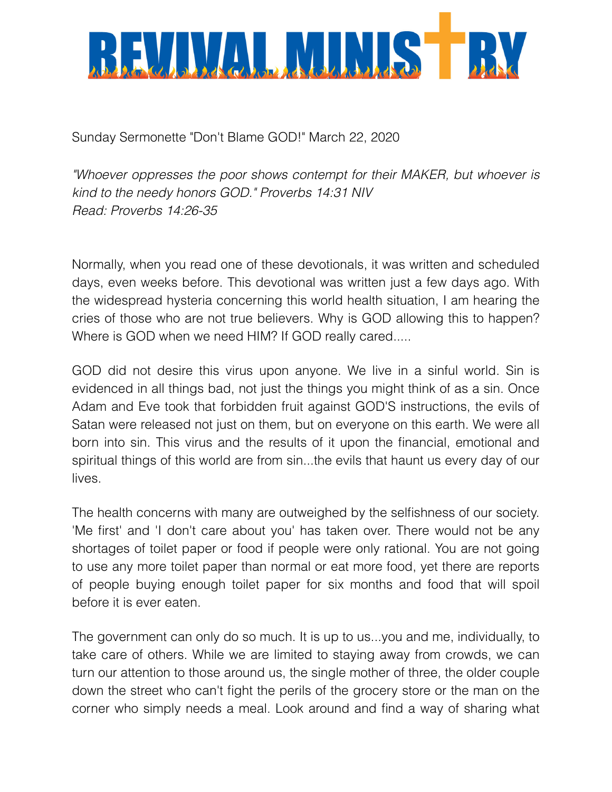

Sunday Sermonette "Don't Blame GOD!" March 22, 2020

*"Whoever oppresses the poor shows contempt for their MAKER, but whoever is kind to the needy honors GOD." Proverbs 14:31 NIV Read: Proverbs 14:26-35* 

Normally, when you read one of these devotionals, it was written and scheduled days, even weeks before. This devotional was written just a few days ago. With the widespread hysteria concerning this world health situation, I am hearing the cries of those who are not true believers. Why is GOD allowing this to happen? Where is GOD when we need HIM? If GOD really cared.....

GOD did not desire this virus upon anyone. We live in a sinful world. Sin is evidenced in all things bad, not just the things you might think of as a sin. Once Adam and Eve took that forbidden fruit against GOD'S instructions, the evils of Satan were released not just on them, but on everyone on this earth. We were all born into sin. This virus and the results of it upon the financial, emotional and spiritual things of this world are from sin...the evils that haunt us every day of our lives.

The health concerns with many are outweighed by the selfishness of our society. 'Me first' and 'I don't care about you' has taken over. There would not be any shortages of toilet paper or food if people were only rational. You are not going to use any more toilet paper than normal or eat more food, yet there are reports of people buying enough toilet paper for six months and food that will spoil before it is ever eaten.

The government can only do so much. It is up to us...you and me, individually, to take care of others. While we are limited to staying away from crowds, we can turn our attention to those around us, the single mother of three, the older couple down the street who can't fight the perils of the grocery store or the man on the corner who simply needs a meal. Look around and find a way of sharing what